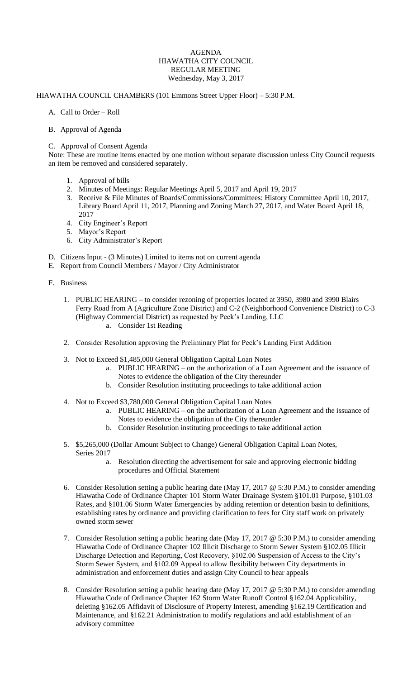## AGENDA HIAWATHA CITY COUNCIL REGULAR MEETING Wednesday, May 3, 2017

## HIAWATHA COUNCIL CHAMBERS (101 Emmons Street Upper Floor) – 5:30 P.M.

- A. Call to Order Roll
- B. Approval of Agenda

## C. Approval of Consent Agenda

Note: These are routine items enacted by one motion without separate discussion unless City Council requests an item be removed and considered separately.

- 1. Approval of bills
- 2. Minutes of Meetings: Regular Meetings April 5, 2017 and April 19, 2017
- 3. Receive & File Minutes of Boards/Commissions/Committees: History Committee April 10, 2017, Library Board April 11, 2017, Planning and Zoning March 27, 2017, and Water Board April 18, 2017
- 4. City Engineer's Report
- 5. Mayor's Report
- 6. City Administrator's Report
- D. Citizens Input (3 Minutes) Limited to items not on current agenda
- E. Report from Council Members / Mayor / City Administrator
- F. Business
	- 1. PUBLIC HEARING to consider rezoning of properties located at 3950, 3980 and 3990 Blairs Ferry Road from A (Agriculture Zone District) and C-2 (Neighborhood Convenience District) to C-3 (Highway Commercial District) as requested by Peck's Landing, LLC
		- a. Consider 1st Reading
	- 2. Consider Resolution approving the Preliminary Plat for Peck's Landing First Addition
	- 3. Not to Exceed \$1,485,000 General Obligation Capital Loan Notes
		- a. PUBLIC HEARING on the authorization of a Loan Agreement and the issuance of Notes to evidence the obligation of the City thereunder
		- b. Consider Resolution instituting proceedings to take additional action
	- 4. Not to Exceed \$3,780,000 General Obligation Capital Loan Notes
		- a. PUBLIC HEARING on the authorization of a Loan Agreement and the issuance of Notes to evidence the obligation of the City thereunder
		- b. Consider Resolution instituting proceedings to take additional action
	- 5. \$5,265,000 (Dollar Amount Subject to Change) General Obligation Capital Loan Notes, Series 2017
		- a. Resolution directing the advertisement for sale and approving electronic bidding procedures and Official Statement
	- 6. Consider Resolution setting a public hearing date (May 17, 2017 @ 5:30 P.M.) to consider amending Hiawatha Code of Ordinance Chapter 101 Storm Water Drainage System §101.01 Purpose, §101.03 Rates, and §101.06 Storm Water Emergencies by adding retention or detention basin to definitions, establishing rates by ordinance and providing clarification to fees for City staff work on privately owned storm sewer
	- 7. Consider Resolution setting a public hearing date (May 17, 2017 @ 5:30 P.M.) to consider amending Hiawatha Code of Ordinance Chapter 102 Illicit Discharge to Storm Sewer System §102.05 Illicit Discharge Detection and Reporting, Cost Recovery, §102.06 Suspension of Access to the City's Storm Sewer System, and §102.09 Appeal to allow flexibility between City departments in administration and enforcement duties and assign City Council to hear appeals
	- 8. Consider Resolution setting a public hearing date (May 17, 2017 @ 5:30 P.M.) to consider amending Hiawatha Code of Ordinance Chapter 162 Storm Water Runoff Control §162.04 Applicability, deleting §162.05 Affidavit of Disclosure of Property Interest, amending §162.19 Certification and Maintenance, and §162.21 Administration to modify regulations and add establishment of an advisory committee